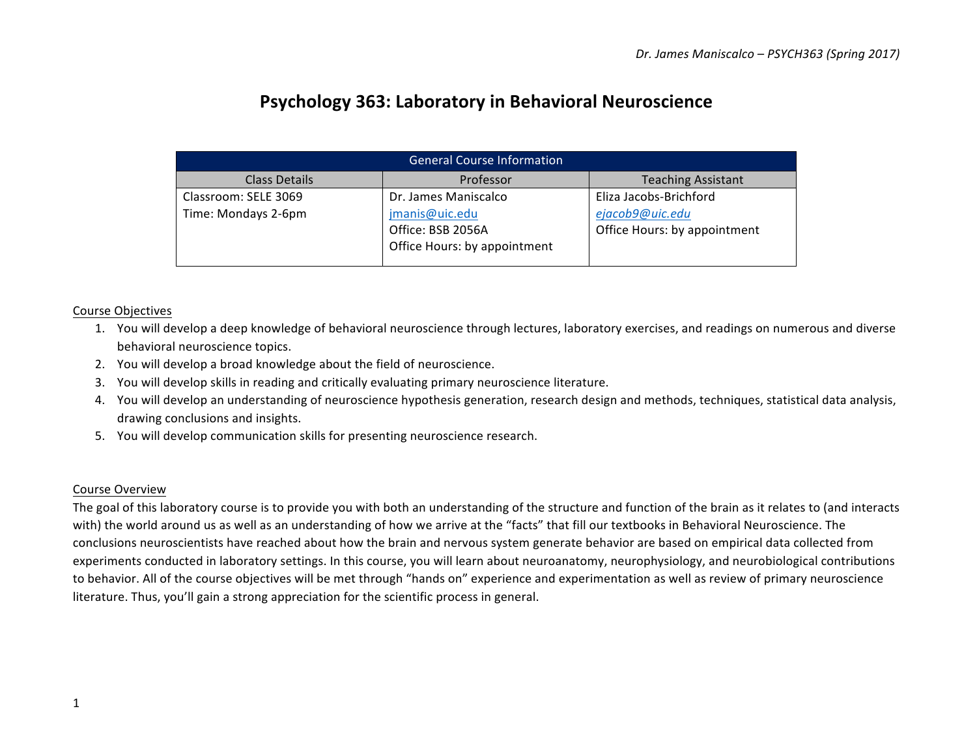# **Psychology 363: Laboratory in Behavioral Neuroscience**

| <b>General Course Information</b>           |                                                                                             |                                                                           |  |  |  |  |  |  |
|---------------------------------------------|---------------------------------------------------------------------------------------------|---------------------------------------------------------------------------|--|--|--|--|--|--|
| <b>Class Details</b>                        | Professor                                                                                   | <b>Teaching Assistant</b>                                                 |  |  |  |  |  |  |
| Classroom: SELE 3069<br>Time: Mondays 2-6pm | Dr. James Maniscalco<br>jmanis@uic.edu<br>Office: BSB 2056A<br>Office Hours: by appointment | Eliza Jacobs-Brichford<br>ejacob9@uic.edu<br>Office Hours: by appointment |  |  |  |  |  |  |

# Course Objectives

- 1. You will develop a deep knowledge of behavioral neuroscience through lectures, laboratory exercises, and readings on numerous and diverse behavioral neuroscience topics.
- 2. You will develop a broad knowledge about the field of neuroscience.
- 3. You will develop skills in reading and critically evaluating primary neuroscience literature.
- 4. You will develop an understanding of neuroscience hypothesis generation, research design and methods, techniques, statistical data analysis, drawing conclusions and insights.
- 5. You will develop communication skills for presenting neuroscience research.

# Course Overview

The goal of this laboratory course is to provide you with both an understanding of the structure and function of the brain as it relates to (and interacts with) the world around us as well as an understanding of how we arrive at the "facts" that fill our textbooks in Behavioral Neuroscience. The conclusions neuroscientists have reached about how the brain and nervous system generate behavior are based on empirical data collected from experiments conducted in laboratory settings. In this course, you will learn about neuroanatomy, neurophysiology, and neurobiological contributions to behavior. All of the course objectives will be met through "hands on" experience and experimentation as well as review of primary neuroscience literature. Thus, you'll gain a strong appreciation for the scientific process in general.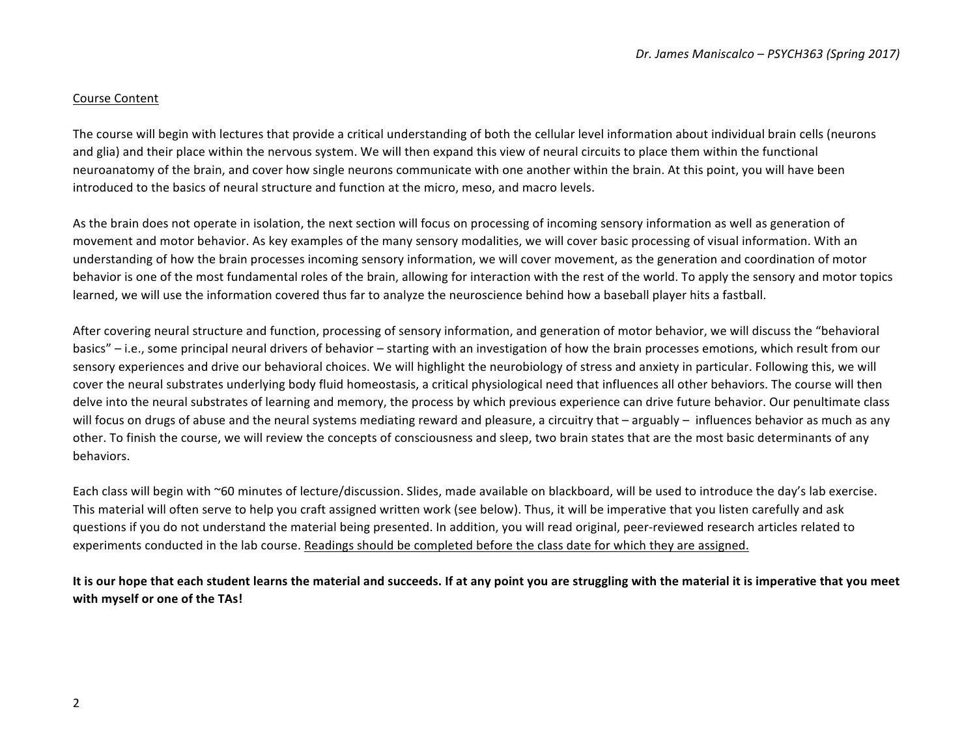## Course Content

The course will begin with lectures that provide a critical understanding of both the cellular level information about individual brain cells (neurons and glia) and their place within the nervous system. We will then expand this view of neural circuits to place them within the functional neuroanatomy of the brain, and cover how single neurons communicate with one another within the brain. At this point, you will have been introduced to the basics of neural structure and function at the micro, meso, and macro levels.

As the brain does not operate in isolation, the next section will focus on processing of incoming sensory information as well as generation of movement and motor behavior. As key examples of the many sensory modalities, we will cover basic processing of visual information. With an understanding of how the brain processes incoming sensory information, we will cover movement, as the generation and coordination of motor behavior is one of the most fundamental roles of the brain, allowing for interaction with the rest of the world. To apply the sensory and motor topics learned, we will use the information covered thus far to analyze the neuroscience behind how a baseball player hits a fastball.

After covering neural structure and function, processing of sensory information, and generation of motor behavior, we will discuss the "behavioral basics" – i.e., some principal neural drivers of behavior – starting with an investigation of how the brain processes emotions, which result from our sensory experiences and drive our behavioral choices. We will highlight the neurobiology of stress and anxiety in particular. Following this, we will cover the neural substrates underlying body fluid homeostasis, a critical physiological need that influences all other behaviors. The course will then delve into the neural substrates of learning and memory, the process by which previous experience can drive future behavior. Our penultimate class will focus on drugs of abuse and the neural systems mediating reward and pleasure, a circuitry that – arguably – influences behavior as much as any other. To finish the course, we will review the concepts of consciousness and sleep, two brain states that are the most basic determinants of any behaviors.

Each class will begin with ~60 minutes of lecture/discussion. Slides, made available on blackboard, will be used to introduce the day's lab exercise. This material will often serve to help you craft assigned written work (see below). Thus, it will be imperative that you listen carefully and ask questions if you do not understand the material being presented. In addition, you will read original, peer-reviewed research articles related to experiments conducted in the lab course. Readings should be completed before the class date for which they are assigned.

It is our hope that each student learns the material and succeeds. If at any point you are struggling with the material it is imperative that you meet with myself or one of the TAs!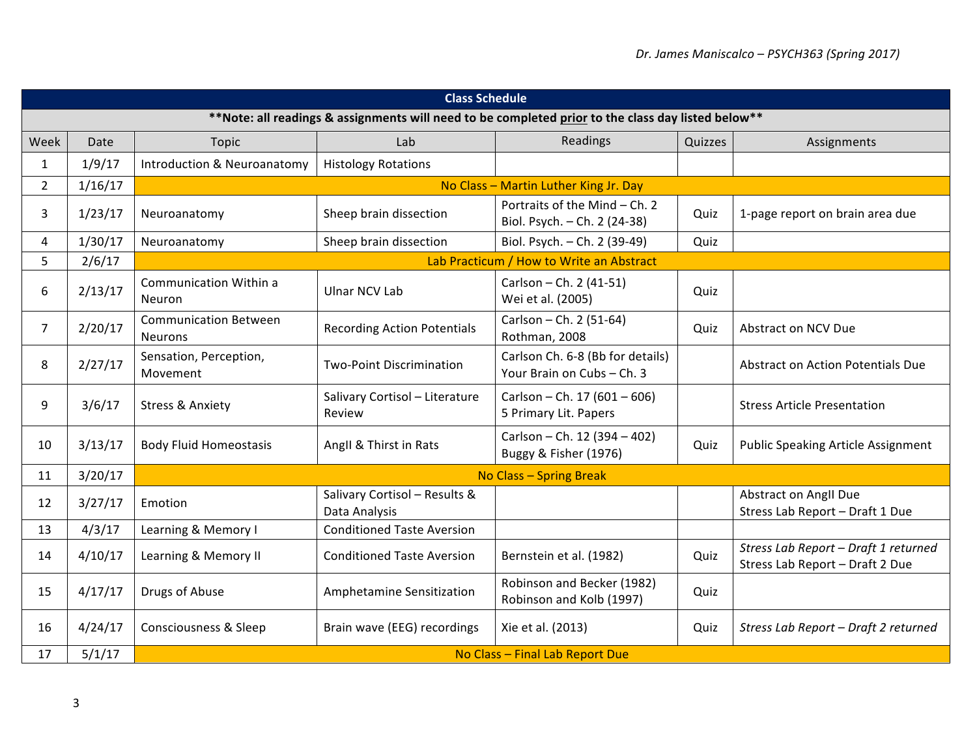| <b>Class Schedule</b>                                                                              |         |                                                |                                                |                                                                |         |                                                                         |  |  |  |
|----------------------------------------------------------------------------------------------------|---------|------------------------------------------------|------------------------------------------------|----------------------------------------------------------------|---------|-------------------------------------------------------------------------|--|--|--|
| **Note: all readings & assignments will need to be completed prior to the class day listed below** |         |                                                |                                                |                                                                |         |                                                                         |  |  |  |
| Week                                                                                               | Date    | Topic                                          | Lab                                            | Readings                                                       | Quizzes | Assignments                                                             |  |  |  |
| $\mathbf{1}$                                                                                       | 1/9/17  | Introduction & Neuroanatomy                    | <b>Histology Rotations</b>                     |                                                                |         |                                                                         |  |  |  |
| $\overline{2}$                                                                                     | 1/16/17 |                                                |                                                | No Class - Martin Luther King Jr. Day                          |         |                                                                         |  |  |  |
| 3                                                                                                  | 1/23/17 | Neuroanatomy                                   | Sheep brain dissection                         | Portraits of the Mind - Ch. 2<br>Biol. Psych. - Ch. 2 (24-38)  | Quiz    | 1-page report on brain area due                                         |  |  |  |
| 4                                                                                                  | 1/30/17 | Neuroanatomy                                   | Sheep brain dissection                         | Biol. Psych. - Ch. 2 (39-49)                                   | Quiz    |                                                                         |  |  |  |
| 5                                                                                                  | 2/6/17  |                                                |                                                | Lab Practicum / How to Write an Abstract                       |         |                                                                         |  |  |  |
| 6                                                                                                  | 2/13/17 | <b>Communication Within a</b><br>Neuron        | <b>Ulnar NCV Lab</b>                           | Carlson - Ch. 2 (41-51)<br>Wei et al. (2005)                   | Quiz    |                                                                         |  |  |  |
| $\overline{7}$                                                                                     | 2/20/17 | <b>Communication Between</b><br><b>Neurons</b> | <b>Recording Action Potentials</b>             | Carlson - Ch. 2 (51-64)<br>Rothman, 2008                       | Quiz    | Abstract on NCV Due                                                     |  |  |  |
| 8                                                                                                  | 2/27/17 | Sensation, Perception,<br>Movement             | <b>Two-Point Discrimination</b>                | Carlson Ch. 6-8 (Bb for details)<br>Your Brain on Cubs - Ch. 3 |         | Abstract on Action Potentials Due                                       |  |  |  |
| 9                                                                                                  | 3/6/17  | <b>Stress &amp; Anxiety</b>                    | Salivary Cortisol - Literature<br>Review       | Carlson - Ch. 17 (601 - 606)<br>5 Primary Lit. Papers          |         | <b>Stress Article Presentation</b>                                      |  |  |  |
| 10                                                                                                 | 3/13/17 | <b>Body Fluid Homeostasis</b>                  | Angll & Thirst in Rats                         | Carlson - Ch. 12 (394 - 402)<br>Buggy & Fisher (1976)          | Quiz    | <b>Public Speaking Article Assignment</b>                               |  |  |  |
| 11                                                                                                 | 3/20/17 |                                                | No Class - Spring Break                        |                                                                |         |                                                                         |  |  |  |
| 12                                                                                                 | 3/27/17 | Emotion                                        | Salivary Cortisol - Results &<br>Data Analysis |                                                                |         | <b>Abstract on Angll Due</b><br>Stress Lab Report - Draft 1 Due         |  |  |  |
| 13                                                                                                 | 4/3/17  | Learning & Memory I                            | <b>Conditioned Taste Aversion</b>              |                                                                |         |                                                                         |  |  |  |
| 14                                                                                                 | 4/10/17 | Learning & Memory II                           | <b>Conditioned Taste Aversion</b>              | Bernstein et al. (1982)                                        | Quiz    | Stress Lab Report - Draft 1 returned<br>Stress Lab Report - Draft 2 Due |  |  |  |
| 15                                                                                                 | 4/17/17 | Drugs of Abuse                                 | Amphetamine Sensitization                      | Robinson and Becker (1982)<br>Robinson and Kolb (1997)         | Quiz    |                                                                         |  |  |  |
| 16                                                                                                 | 4/24/17 | <b>Consciousness &amp; Sleep</b>               | Brain wave (EEG) recordings                    | Xie et al. (2013)                                              | Quiz    | Stress Lab Report - Draft 2 returned                                    |  |  |  |
| 17                                                                                                 | 5/1/17  | No Class - Final Lab Report Due                |                                                |                                                                |         |                                                                         |  |  |  |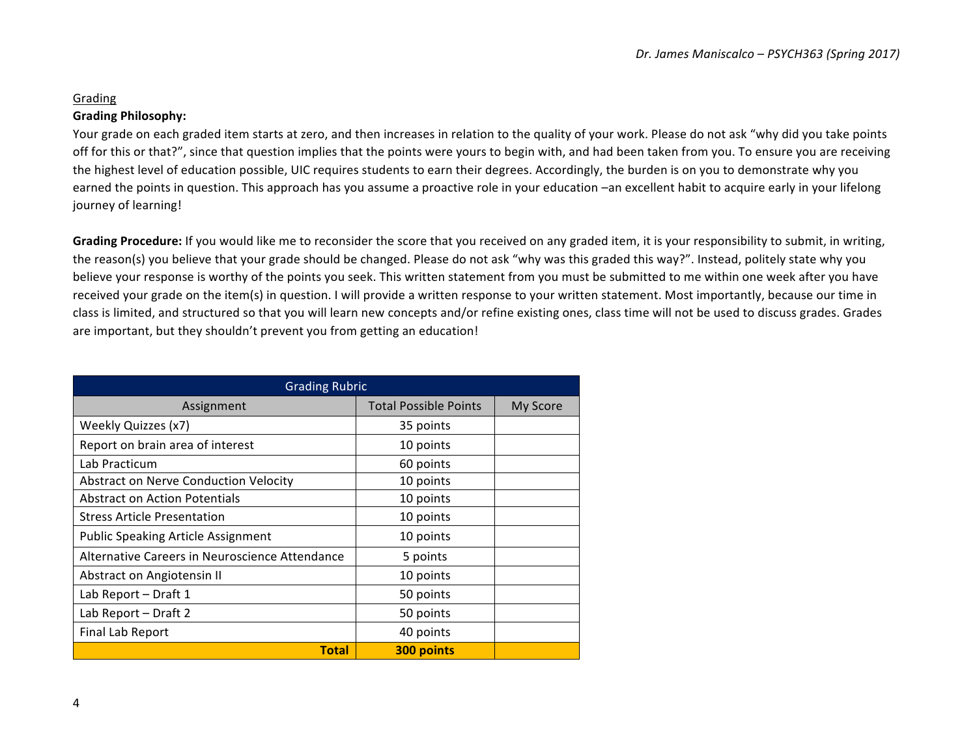# Grading

# **Grading Philosophy:**

Your grade on each graded item starts at zero, and then increases in relation to the quality of your work. Please do not ask "why did you take points off for this or that?", since that question implies that the points were yours to begin with, and had been taken from you. To ensure you are receiving the highest level of education possible, UIC requires students to earn their degrees. Accordingly, the burden is on you to demonstrate why you earned the points in question. This approach has you assume a proactive role in your education -an excellent habit to acquire early in your lifelong journey of learning!

**Grading Procedure:** If you would like me to reconsider the score that you received on any graded item, it is your responsibility to submit, in writing, the reason(s) you believe that your grade should be changed. Please do not ask "why was this graded this way?". Instead, politely state why you believe your response is worthy of the points you seek. This written statement from you must be submitted to me within one week after you have received your grade on the item(s) in question. I will provide a written response to your written statement. Most importantly, because our time in class is limited, and structured so that you will learn new concepts and/or refine existing ones, class time will not be used to discuss grades. Grades are important, but they shouldn't prevent you from getting an education!

| <b>Grading Rubric</b>                          |                              |          |  |  |  |
|------------------------------------------------|------------------------------|----------|--|--|--|
| Assignment                                     | <b>Total Possible Points</b> | My Score |  |  |  |
| Weekly Quizzes (x7)                            | 35 points                    |          |  |  |  |
| Report on brain area of interest               | 10 points                    |          |  |  |  |
| Lab Practicum                                  | 60 points                    |          |  |  |  |
| Abstract on Nerve Conduction Velocity          | 10 points                    |          |  |  |  |
| <b>Abstract on Action Potentials</b>           | 10 points                    |          |  |  |  |
| <b>Stress Article Presentation</b>             | 10 points                    |          |  |  |  |
| <b>Public Speaking Article Assignment</b>      | 10 points                    |          |  |  |  |
| Alternative Careers in Neuroscience Attendance | 5 points                     |          |  |  |  |
| Abstract on Angiotensin II                     | 10 points                    |          |  |  |  |
| Lab Report - Draft 1                           | 50 points                    |          |  |  |  |
| Lab Report - Draft 2                           | 50 points                    |          |  |  |  |
| <b>Final Lab Report</b>                        | 40 points                    |          |  |  |  |
| <b>Total</b>                                   | 300 points                   |          |  |  |  |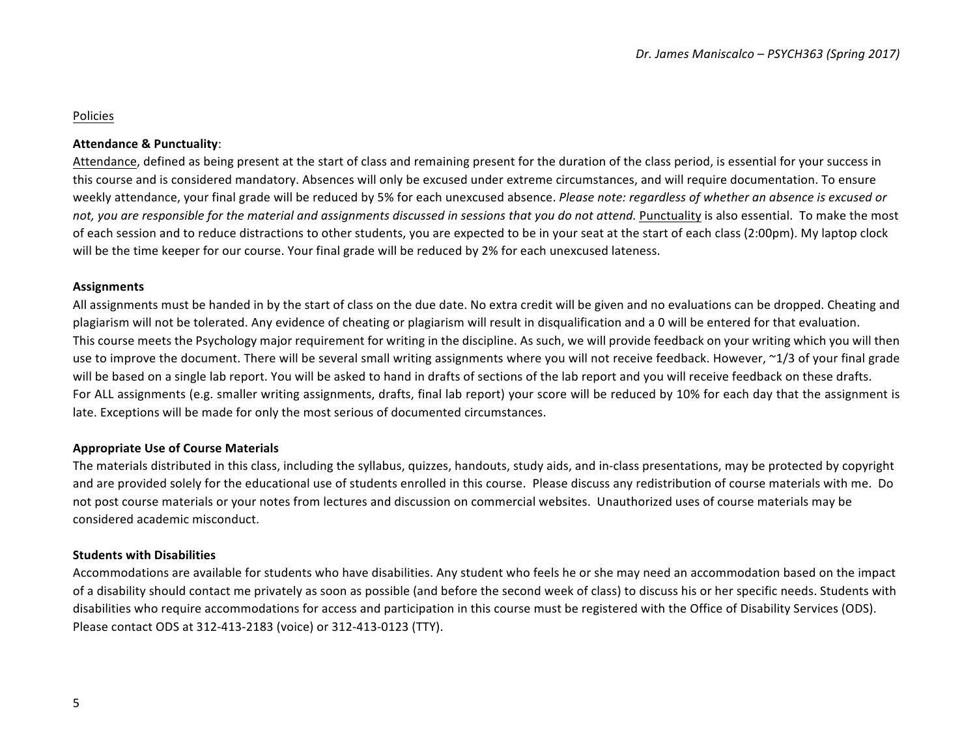# Policies

## **Attendance & Punctuality**:

Attendance, defined as being present at the start of class and remaining present for the duration of the class period, is essential for your success in this course and is considered mandatory. Absences will only be excused under extreme circumstances, and will require documentation. To ensure weekly attendance, your final grade will be reduced by 5% for each unexcused absence. *Please note: regardless of whether an absence is excused or* not, you are responsible for the material and assignments discussed in sessions that you do not attend. Punctuality is also essential. To make the most of each session and to reduce distractions to other students, you are expected to be in your seat at the start of each class (2:00pm). My laptop clock will be the time keeper for our course. Your final grade will be reduced by 2% for each unexcused lateness.

#### **Assignments**

All assignments must be handed in by the start of class on the due date. No extra credit will be given and no evaluations can be dropped. Cheating and plagiarism will not be tolerated. Any evidence of cheating or plagiarism will result in disqualification and a 0 will be entered for that evaluation. This course meets the Psychology major requirement for writing in the discipline. As such, we will provide feedback on your writing which you will then use to improve the document. There will be several small writing assignments where you will not receive feedback. However, ~1/3 of your final grade will be based on a single lab report. You will be asked to hand in drafts of sections of the lab report and you will receive feedback on these drafts. For ALL assignments (e.g. smaller writing assignments, drafts, final lab report) your score will be reduced by 10% for each day that the assignment is late. Exceptions will be made for only the most serious of documented circumstances.

#### **Appropriate Use of Course Materials**

The materials distributed in this class, including the syllabus, quizzes, handouts, study aids, and in-class presentations, may be protected by copyright and are provided solely for the educational use of students enrolled in this course. Please discuss any redistribution of course materials with me. Do not post course materials or your notes from lectures and discussion on commercial websites. Unauthorized uses of course materials may be considered academic misconduct.

#### **Students with Disabilities**

Accommodations are available for students who have disabilities. Any student who feels he or she may need an accommodation based on the impact of a disability should contact me privately as soon as possible (and before the second week of class) to discuss his or her specific needs. Students with disabilities who require accommodations for access and participation in this course must be registered with the Office of Disability Services (ODS). Please contact ODS at 312-413-2183 (voice) or 312-413-0123 (TTY).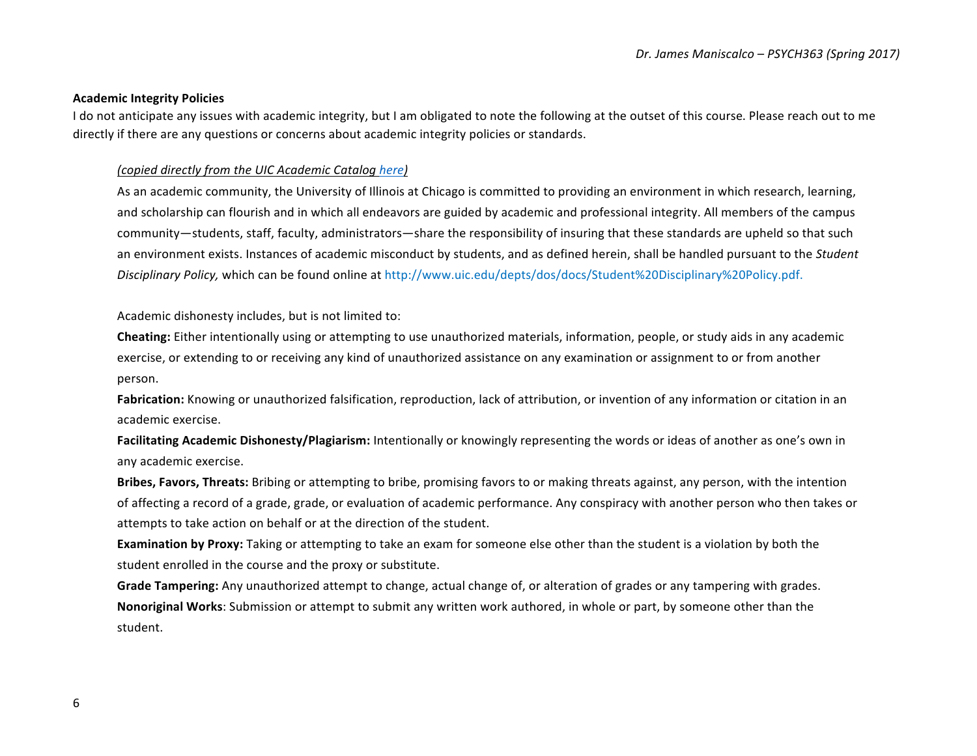#### **Academic Integrity Policies**

I do not anticipate any issues with academic integrity, but I am obligated to note the following at the outset of this course. Please reach out to me directly if there are any questions or concerns about academic integrity policies or standards.

### *(copied directly from the UIC Academic Catalog here)*

As an academic community, the University of Illinois at Chicago is committed to providing an environment in which research, learning, and scholarship can flourish and in which all endeavors are guided by academic and professional integrity. All members of the campus community—students, staff, faculty, administrators—share the responsibility of insuring that these standards are upheld so that such an environment exists. Instances of academic misconduct by students, and as defined herein, shall be handled pursuant to the *Student Disciplinary Policy,* which can be found online at http://www.uic.edu/depts/dos/docs/Student%20Disciplinary%20Policy.pdf.

Academic dishonesty includes, but is not limited to:

**Cheating:** Either intentionally using or attempting to use unauthorized materials, information, people, or study aids in any academic exercise, or extending to or receiving any kind of unauthorized assistance on any examination or assignment to or from another person.

**Fabrication:** Knowing or unauthorized falsification, reproduction, lack of attribution, or invention of any information or citation in an academic exercise.

Facilitating Academic Dishonesty/Plagiarism: Intentionally or knowingly representing the words or ideas of another as one's own in any academic exercise.

**Bribes, Favors, Threats:** Bribing or attempting to bribe, promising favors to or making threats against, any person, with the intention of affecting a record of a grade, grade, or evaluation of academic performance. Any conspiracy with another person who then takes or attempts to take action on behalf or at the direction of the student.

**Examination by Proxy:** Taking or attempting to take an exam for someone else other than the student is a violation by both the student enrolled in the course and the proxy or substitute.

Grade Tampering: Any unauthorized attempt to change, actual change of, or alteration of grades or any tampering with grades. **Nonoriginal Works**: Submission or attempt to submit any written work authored, in whole or part, by someone other than the student.